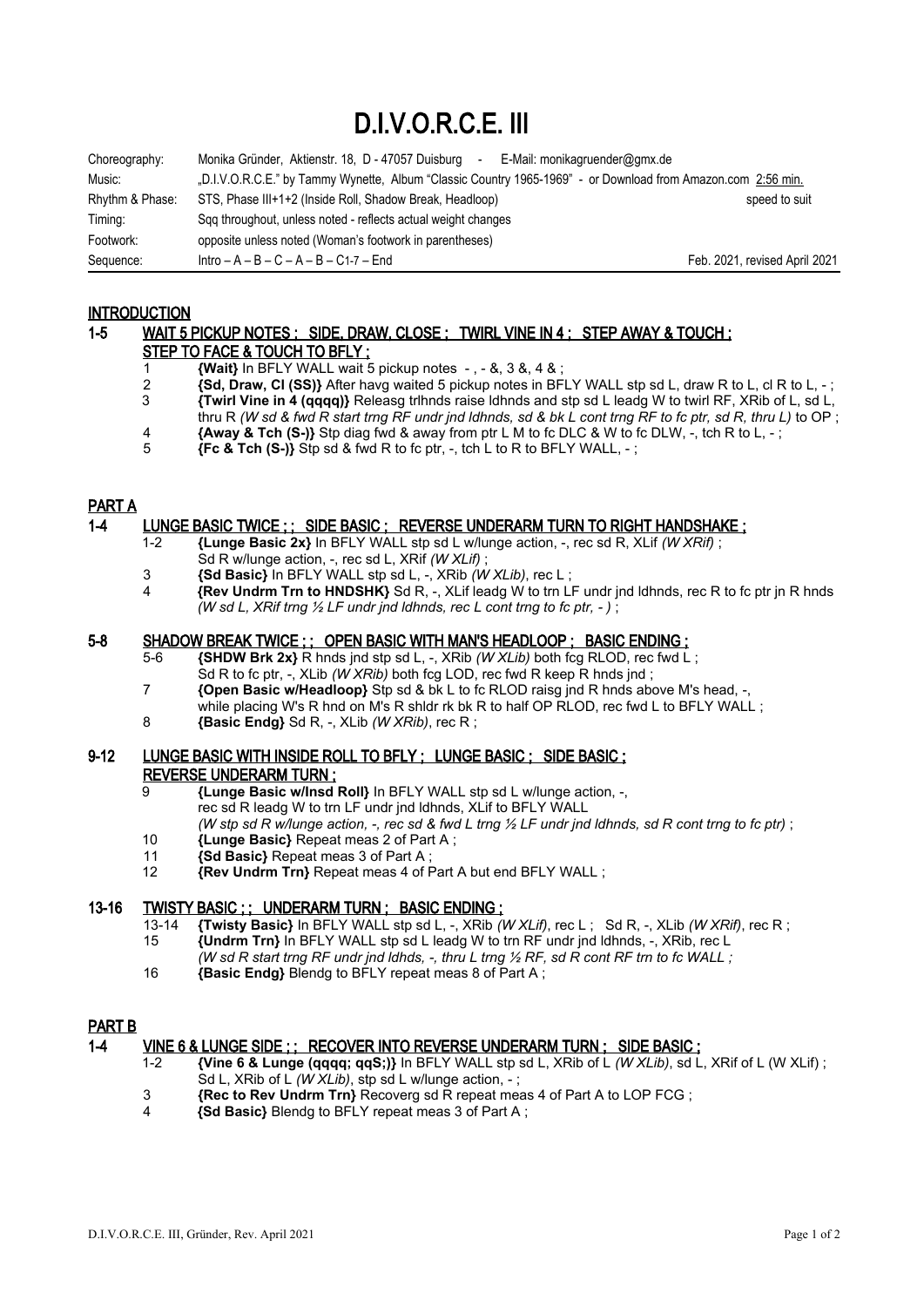# D.I.V.O.R.C.E. III

| Choreography:   | Monika Gründer, Aktienstr. 18, D - 47057 Duisburg<br>E-Mail: monikagruender@gmx.de<br>$\sim$                 |                               |
|-----------------|--------------------------------------------------------------------------------------------------------------|-------------------------------|
| Music:          | "D.I.V.O.R.C.E." by Tammy Wynette, Album "Classic Country 1965-1969" - or Download from Amazon.com 2:56 min. |                               |
| Rhythm & Phase: | STS, Phase III+1+2 (Inside Roll, Shadow Break, Headloop)                                                     | speed to suit                 |
| Timing:         | Sqq throughout, unless noted - reflects actual weight changes                                                |                               |
| Footwork:       | opposite unless noted (Woman's footwork in parentheses)                                                      |                               |
| Sequence:       | $Intro - A - B - C - A - B - C1-7 - End$                                                                     | Feb. 2021, revised April 2021 |

## **INTRODUCTION**

## 1-5 WAIT 5 PICKUP NOTES ; SIDE, DRAW, CLOSE ; TWIRL VINE IN 4 ; STEP AWAY & TOUCH ; STEP TO FACE & TOUCH TO BFLY ;

- 1 **{Wait}** In BFLY WALL wait 5 pickup notes , &, 3 &, 4 & ;
- **2** *{Sd, Draw, CI (SS)}* After havg waited 5 pickup notes in BFLY WALL stp sd L, draw R to L, cl R to L, -;<br>**3** *{Twirl Vine in 4 (gggg)}* Releasg trihnds raise idhnds and stp sd L leadg W to twirl RF. XRib of L, sd L 3 **{Twirl Vine in 4 (qqqq)}** Releasg trlhnds raise ldhnds and stp sd L leadg W to twirl RF, XRib of L, sd L, thru R *(W sd & fwd R start trng RF undr jnd ldhnds, sd & bk L cont trng RF to fc ptr, sd R, thru L)* to OP ;
- **4 {Away & Tch (S-)}** Stp diag fwd & away from ptr L M to fc DLC & W to fc DLW, -, tch R to L, -;<br>5 **Fc & Tch (S-))** Stp sd & fwd R to fc ptr. -, tch L to R to BFLY WALL. -:
- 5 **{Fc & Tch (S-)}** Stp sd & fwd R to fc ptr, -, tch L to R to BFLY WALL, ;

## PART A

#### 1-4 LUNGE BASIC TWICE ; ; SIDE BASIC ; REVERSE UNDERARM TURN TO RIGHT HANDSHAKE ;

- 1-2 **{Lunge Basic 2x}** In BFLY WALL stp sd L w/lunge action, -, rec sd R, XLif *(W XRif)* ; Sd R w/lunge action, -, rec sd L, XRif *(W XLif)* ;
- 3 **{Sd Basic}** In BFLY WALL stp sd L, -, XRib *(W XLib)*, rec L ;
- 4 **{Rev Undrm Trn to HNDSHK}** Sd R, -, XLif leadg W to trn LF undr jnd ldhnds, rec R to fc ptr jn R hnds *(W sd L, XRif trng ½ LF undr jnd ldhnds, rec L cont trng to fc ptr, - )* ;

#### 5-8 SHADOW BREAK TWICE ; ; OPEN BASIC WITH MAN'S HEADLOOP ; BASIC ENDING ;

- 5-6 **{SHDW Brk 2x}** R hnds jnd stp sd L, -, XRib *(W XLib)* both fcg RLOD, rec fwd L; Sd R to fc ptr. -, XLib *(W XRib)* both fcg LOD, rec fwd R keep R hnds ind :
- 7 **{Open Basic w/Headloop}** Stp sd & bk L to fc RLOD raisg jnd R hnds above M's head, -, while placing W's R hnd on M's R shldr rk bk R to half OP RLOD, rec fwd L to BFLY WALL ;
- 8 **{Basic Endg}** Sd R, -, XLib *(W XRib)*, rec R ;

## 9-12 LUNGE BASIC WITH INSIDE ROLL TO BFLY ; LUNGE BASIC ; SIDE BASIC ; REVERSE UNDERARM TURN ;

- 9 **{Lunge Basic w/Insd Roll}** In BFLY WALL stp sd L w/lunge action, -,
	- rec sd R leadg W to trn LF undr jnd ldhnds, XLif to BFLY WALL
		- *(W stp sd R w/lunge action, -, rec sd & fwd L trng ½ LF undr jnd ldhnds, sd R cont trng to fc ptr)* ;
- 10 **{Lunge Basic}** Repeat meas 2 of Part A ;
- 11 **{Sd Basic}** Repeat meas 3 of Part A ;<br>12 **{Rev Undrm Trn}** Repeat meas 4 of F
- 12 **{Rev Undrm Trn}** Repeat meas 4 of Part A but end BFLY WALL ;

## 13-16 TWISTY BASIC ;; UNDERARM TURN ; BASIC ENDING ;

- 13-14 **{Twisty Basic}** In BFLY WALL stp sd L, -, XRib *(W XLif)*, rec L ; Sd R, -, XLib *(W XRif)*, rec R ;
	- 15 **{Undrm Trn}** In BFLY WALL stp sd L leadg W to trn RF undr jnd ldhnds, -, XRib, rec L *(W sd R start trng RF undr jnd ldhds, -, thru L trng ½ RF, sd R cont RF trn to fc WALL ;*
- 16 **{Basic Endg}** Blendg to BFLY repeat meas 8 of Part A ;

## PART B

## 1-4 VINE 6 & LUNGE SIDE ; ; RECOVER INTO REVERSE UNDERARM TURN ; SIDE BASIC ;

- 1-2 **{Vine 6 & Lunge (qqqq; qqS;)}** In BFLY WALL stp sd L, XRib of L *(W XLib)*, sd L, XRif of L (W XLif) ; Sd L, XRib of L *(W XLib)*, stp sd L w/lunge action, -;
- **3 {Rec to Rev Undrm Trn}** Recoverg sd R repeat meas 4 of Part A to LOP FCG ;<br>4 **{Sd Basic}** Blendg to BFLY repeat meas 3 of Part A :
- 4 **{Sd Basic}** Blendg to BFLY repeat meas 3 of Part A ;